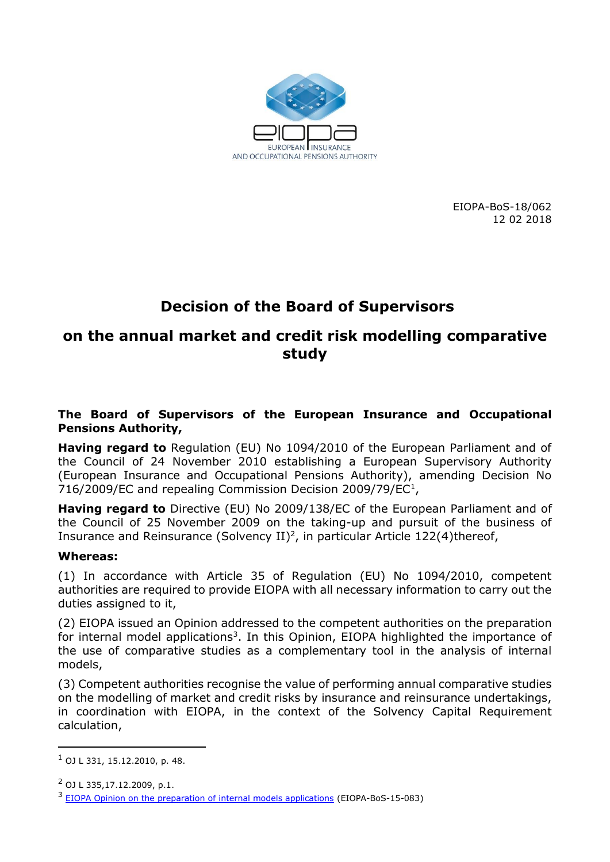

EIOPA-BoS-18/062 12 02 2018

# **Decision of the Board of Supervisors**

# **on the annual market and credit risk modelling comparative study**

#### **The Board of Supervisors of the European Insurance and Occupational Pensions Authority,**

**Having regard to** Regulation (EU) No 1094/2010 of the European Parliament and of the Council of 24 November 2010 establishing a European Supervisory Authority (European Insurance and Occupational Pensions Authority), amending Decision No 716/2009/EC and repealing Commission Decision 2009/79/EC<sup>1</sup>,

**Having regard to** Directive (EU) No 2009/138/EC of the European Parliament and of the Council of 25 November 2009 on the taking-up and pursuit of the business of Insurance and Reinsurance (Solvency II) 2 , in particular Article 122(4)thereof,

#### **Whereas:**

(1) In accordance with Article 35 of Regulation (EU) No 1094/2010, competent authorities are required to provide EIOPA with all necessary information to carry out the duties assigned to it,

(2) EIOPA issued an Opinion addressed to the competent authorities on the preparation for internal model applications<sup>3</sup>. In this Opinion, EIOPA highlighted the importance of the use of comparative studies as a complementary tool in the analysis of internal models,

(3) Competent authorities recognise the value of performing annual comparative studies on the modelling of market and credit risks by insurance and reinsurance undertakings, in coordination with EIOPA, in the context of the Solvency Capital Requirement calculation,

-

 $1$  OJ L 331, 15.12.2010, p. 48.

 $^{2}$  O<sub>1</sub> 1 335,17,12,2009, p.1.

<sup>&</sup>lt;sup>3</sup> [EIOPA Opinion on the preparation of internal models applications](https://eiopa.europa.eu/Publications/Opinions/EIOPA-BoS-15-083%20Opinion%20on%20IMs%20%28April%202015%29.pdf) (EIOPA-BoS-15-083)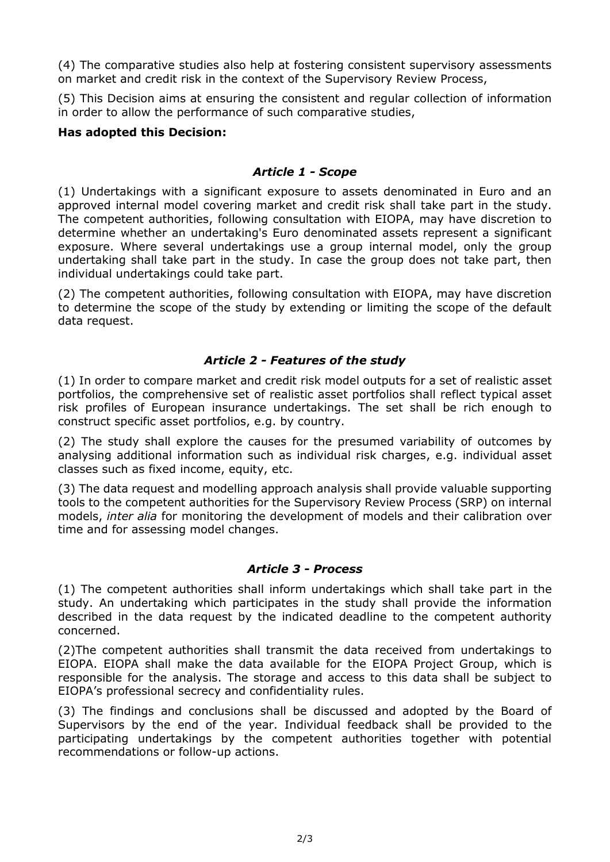(4) The comparative studies also help at fostering consistent supervisory assessments on market and credit risk in the context of the Supervisory Review Process,

(5) This Decision aims at ensuring the consistent and regular collection of information in order to allow the performance of such comparative studies,

#### **Has adopted this Decision:**

#### *Article 1 - Scope*

(1) Undertakings with a significant exposure to assets denominated in Euro and an approved internal model covering market and credit risk shall take part in the study. The competent authorities, following consultation with EIOPA, may have discretion to determine whether an undertaking's Euro denominated assets represent a significant exposure. Where several undertakings use a group internal model, only the group undertaking shall take part in the study. In case the group does not take part, then individual undertakings could take part.

(2) The competent authorities, following consultation with EIOPA, may have discretion to determine the scope of the study by extending or limiting the scope of the default data request.

# *Article 2 - Features of the study*

(1) In order to compare market and credit risk model outputs for a set of realistic asset portfolios, the comprehensive set of realistic asset portfolios shall reflect typical asset risk profiles of European insurance undertakings. The set shall be rich enough to construct specific asset portfolios, e.g. by country.

(2) The study shall explore the causes for the presumed variability of outcomes by analysing additional information such as individual risk charges, e.g. individual asset classes such as fixed income, equity, etc.

(3) The data request and modelling approach analysis shall provide valuable supporting tools to the competent authorities for the Supervisory Review Process (SRP) on internal models, *inter alia* for monitoring the development of models and their calibration over time and for assessing model changes.

# *Article 3 - Process*

(1) The competent authorities shall inform undertakings which shall take part in the study. An undertaking which participates in the study shall provide the information described in the data request by the indicated deadline to the competent authority concerned.

(2)The competent authorities shall transmit the data received from undertakings to EIOPA. EIOPA shall make the data available for the EIOPA Project Group, which is responsible for the analysis. The storage and access to this data shall be subject to EIOPA's professional secrecy and confidentiality rules.

(3) The findings and conclusions shall be discussed and adopted by the Board of Supervisors by the end of the year. Individual feedback shall be provided to the participating undertakings by the competent authorities together with potential recommendations or follow-up actions.